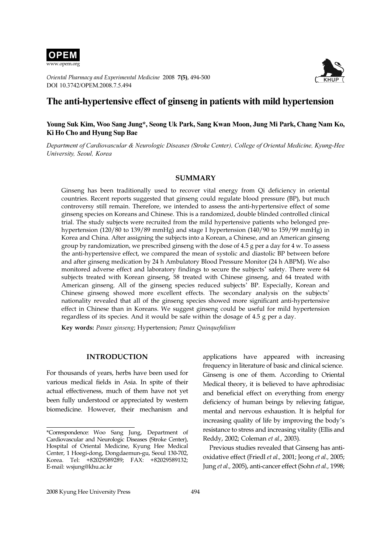

Oriental Pharmacy and Experimental Medicine 2008 7(5), 494-500 DOI 10.3742/OPEM.2008.7.5.494



# The anti-hypertensive effect of ginseng in patients with mild hypertension

# Young Suk Kim, Woo Sang Jung\*, Seong Uk Park, Sang Kwan Moon, Jung Mi Park, Chang Nam Ko, Ki Ho Cho and Hyung Sup Bae

Department of Cardiovascular & Neurologic Diseases (Stroke Center), College of Oriental Medicine, Kyung-Hee University, Seoul, Korea

#### SUMMARY

Ginseng has been traditionally used to recover vital energy from Qi deficiency in oriental countries. Recent reports suggested that ginseng could regulate blood pressure (BP), but much controversy still remain. Therefore, we intended to assess the anti-hypertensive effect of some ginseng species on Koreans and Chinese. This is a randomized, double blinded controlled clinical trial. The study subjects were recruited from the mild hypertensive patients who belonged prehypertension (120/80 to 139/89 mmHg) and stage I hypertension (140/90 to 159/99 mmHg) in Korea and China. After assigning the subjects into a Korean, a Chinese, and an American ginseng group by randomization, we prescribed ginseng with the dose of 4.5 g per a day for 4 w. To assess the anti-hypertensive effect, we compared the mean of systolic and diastolic BP between before and after ginseng medication by 24 h Ambulatory Blood Pressure Monitor (24 h ABPM). We also monitored adverse effect and laboratory findings to secure the subjects' safety. There were 64 subjects treated with Korean ginseng, 58 treated with Chinese ginseng, and 64 treated with American ginseng. All of the ginseng species reduced subjects' BP. Especially, Korean and American ginseng. All of the ginseng species reduced subjects' BP. Especially, Korean and Chinese ginseng showed more excellent effects. The secondary analysis on the subjects' nationality revealed that all of the ginseng species showed more significant anti-hypertensive effect in Chinese than in Koreans. We suggest ginseng could be useful for mild hypertension regardless of its species. And it would be safe within the dosage of 4.5 g per a day.

Key words: Panax ginseng; Hypertension; Panax Quinquefalium

# INTRODUCTION

For thousands of years, herbs have been used for various medical fields in Asia. In spite of their actual effectiveness, much of them have not yet been fully understood or appreciated by western biomedicine. However, their mechanism and

applications have appeared with increasing frequency in literature of basic and clinical science. Ginseng is one of them. According to Oriental Medical theory, it is believed to have aphrodisiac and beneficial effect on everything from energy deficiency of human beings by relieving fatigue, mental and nervous exhaustion. It is helpful for increasing quality of life by improving the body'<sup>s</sup> resistance to stress and increasing vitality (Ellis and Reddy, 2002; Coleman et al., 2003).

Previous studies revealed that Ginseng has antioxidative effect (Friedl et al., 2001; Jeong et al., 2005; Jung et al., 2005), anti-cancer effect (Sohn et al., 1998;

<sup>\*</sup>Correspondence: Woo Sang Jung, Department of Cardiovascular and Neurologic Diseases (Stroke Center), Hospital of Oriental Medicine, Kyung Hee Medical Center, 1 Hoegi-dong, Dongdaemun-gu, Seoul 130-702, Korea. Tel: +82029589289; FAX: +82029589132; E-mail: wsjung@khu.ac.kr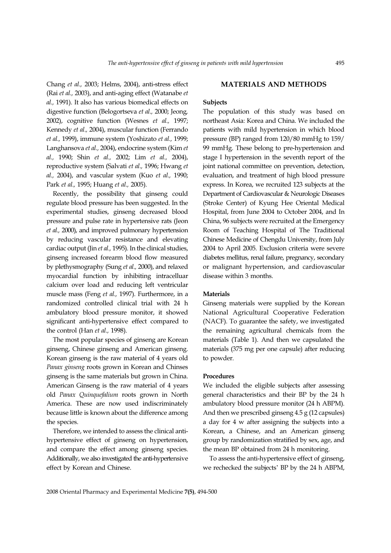Chang et al., 2003; Helms, 2004), anti-stress effect (Rai et al., 2003), and anti-aging effect (Watanabe et al., 1991). It also has various biomedical effects on digestive function (Belogortseva et al., 2000; Jeong, 2002), cognitive function (Wesnes et al., 1997; Kennedy et al., 2004), muscular function (Ferrando et al., 1999), immune system (Yoshizato et al., 1999; Langhansova et al., 2004), endocrine system (Kim et al., 1990; Shin et al., 2002; Lim et al., 2004), reproductive system (Salvati et al., 1996; Hwang et al., 2004), and vascular system (Kuo et al., 1990; Park et al., 1995; Huang et al., 2005).

Recently, the possibility that ginseng could regulate blood pressure has been suggested. In the experimental studies, ginseng decreased blood pressure and pulse rate in hypertensive rats (Jeon et al., 2000), and improved pulmonary hypertension by reducing vascular resistance and elevating cardiac output (Jin et al., 1995). In the clinical studies, ginseng increased forearm blood flow measured by plethysmography (Sung et al., 2000), and relaxed myocardial function by inhibiting intracelluar calcium over load and reducing left ventricular muscle mass (Feng et al., 1997). Furthermore, in a randomized controlled clinical trial with 24 h ambulatory blood pressure monitor, it showed significant anti-hypertensive effect compared to the control (Han et al., 1998).

The most popular species of ginseng are Korean ginseng, Chinese ginseng and American ginseng. Korean ginseng is the raw material of 4 years old Panax ginseng roots grown in Korean and Chinses ginseng is the same materials but grown in China. American Ginseng is the raw material of 4 years old Panax Quinquefalium roots grown in North America. These are now used indiscriminately because little is known about the difference among the species.

Therefore, we intended to assess the clinical antihypertensive effect of ginseng on hypertension, and compare the effect among ginseng species. Additionally, we also investigated the anti-hypertensive effect by Korean and Chinese.

# MATERIALS AND METHODS

#### **Subjects**

The population of this study was based on northeast Asia: Korea and China. We included the patients with mild hypertension in which blood pressure (BP) ranged from 120/80 mmHg to 159/ 99 mmHg. These belong to pre-hypertension and stage I hypertension in the seventh report of the joint national committee on prevention, detection, evaluation, and treatment of high blood pressure express. In Korea, we recruited 123 subjects at the Department of Cardiovascular & Neurologic Diseases (Stroke Center) of Kyung Hee Oriental Medical Hospital, from June 2004 to October 2004, and In China, 96 subjects were recruited at the Emergency Room of Teaching Hospital of The Traditional Chinese Medicine of Chengdu University, from July 2004 to April 2005. Exclusion criteria were severe diabetes mellitus, renal failure, pregnancy, secondary or malignant hypertension, and cardiovascular disease within 3 months.

#### **Materials**

Ginseng materials were supplied by the Korean National Agricultural Cooperative Federation (NACF). To guarantee the safety, we investigated the remaining agricultural chemicals from the materials (Table 1). And then we capsulated the materials (375 mg per one capsule) after reducing to powder.

#### Procedures

We included the eligible subjects after assessing general characteristics and their BP by the 24 h ambulatory blood pressure monitor (24 h ABPM). And then we prescribed ginseng 4.5 g (12 capsules) a day for 4 w after assigning the subjects into a Korean, a Chinese, and an American ginseng group by randomization stratified by sex, age, and the mean BP obtained from 24 h monitoring.

To assess the anti-hypertensive effect of ginseng, we rechecked the subjects' BP by the 24 h ABPM,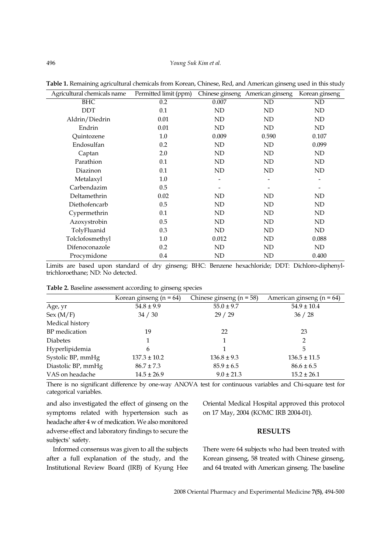| Agricultural chemicals name | Permitted limit (ppm) |       | Chinese ginseng American ginseng | Korean ginseng               |
|-----------------------------|-----------------------|-------|----------------------------------|------------------------------|
| <b>BHC</b>                  | 0.2                   | 0.007 | ND                               | ND                           |
| <b>DDT</b>                  | 0.1                   | ND    | ND                               | ND                           |
| Aldrin/Diedrin              | 0.01                  | ND    | ND                               | ND                           |
| Endrin                      | 0.01                  | ND    | ND                               | ND                           |
| Quintozene                  | 1.0                   | 0.009 | 0.590                            | 0.107                        |
| Endosulfan                  | 0.2                   | ND    | ND                               | 0.099                        |
| Captan                      | 2.0                   | ND    | ND                               | ND                           |
| Parathion                   | 0.1                   | ND    | ND                               | ND                           |
| Diazinon                    | 0.1                   | ND    | ND                               | ND                           |
| Metalaxyl                   | 1.0                   |       |                                  | $\qquad \qquad \blacksquare$ |
| Carbendazim                 | 0.5                   |       |                                  |                              |
| Deltamethrin                | 0.02                  | ND    | ND                               | ND                           |
| Diethofencarb               | 0.5                   | ND    | ND                               | ND                           |
| Cypermethrin                | 0.1                   | ND    | ND                               | <b>ND</b>                    |
| Azoxystrobin                | 0.5                   | ND    | ND                               | ND                           |
| TolyFluanid                 | 0.3                   | ND    | ND                               | ND                           |
| Tolclofosmethyl             | $1.0\,$               | 0.012 | ND                               | 0.088                        |
| Difenoconazole              | 0.2                   | ND    | ND                               | ND                           |
| Procymidone                 | 0.4                   | ND    | ND                               | 0.400                        |

Table 1. Remaining agricultural chemicals from Korean, Chinese, Red, and American ginseng used in this study

Limits are based upon standard of dry ginseng; BHC: Benzene hexachloride; DDT: Dichloro-diphenyltrichloroethane; ND: No detected.

|  | Table 2. Baseline assessment according to ginseng species |  |  |
|--|-----------------------------------------------------------|--|--|
|  |                                                           |  |  |

|                    | Korean ginseng ( $n = 64$ ) | Chinese ginseng ( $n = 58$ ) | American ginseng ( $n = 64$ ) |
|--------------------|-----------------------------|------------------------------|-------------------------------|
| Age, yr            | $54.8 \pm 9.9$              | $55.0 \pm 9.7$               | $54.9 \pm 10.4$               |
| Sex (M/F)          | 34 / 30                     | 29 / 29                      | 36 / 28                       |
| Medical history    |                             |                              |                               |
| BP medication      | 19                          | 22                           | 23                            |
| <b>Diabetes</b>    |                             |                              | 2                             |
| Hyperlipidemia     | 6                           |                              | 5                             |
| Systolic BP, mmHg  | $137.3 \pm 10.2$            | $136.8 \pm 9.3$              | $136.5 \pm 11.5$              |
| Diastolic BP, mmHg | $86.7 \pm 7.3$              | $85.9 \pm 6.5$               | $86.6 \pm 6.5$                |
| VAS on headache    | $14.5 \pm 26.9$             | $9.0 \pm 21.3$               | $15.2 \pm 26.1$               |

There is no significant difference by one-way ANOVA test for continuous variables and Chi-square test for categorical variables.

and also investigated the effect of ginseng on the symptoms related with hypertension such as headache after 4 w of medication. We also monitored adverse effect and laboratory findings to secure the subjects' safety.

Oriental Medical Hospital approved this protocol on 17 May, 2004 (KOMC IRB 2004-01).

# RESULTS

Informed consensus was given to all the subjects after a full explanation of the study, and the Institutional Review Board (IRB) of Kyung Hee There were 64 subjects who had been treated with Korean ginseng, 58 treated with Chinese ginseng, and 64 treated with American ginseng. The baseline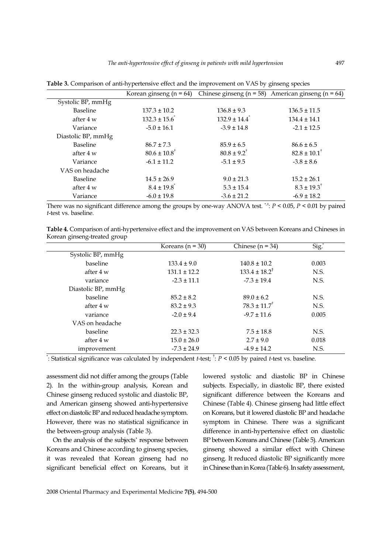|                    | Korean ginseng ( $n = 64$ )  |                               | Chinese ginseng ( $n = 58$ ) American ginseng ( $n = 64$ ) |
|--------------------|------------------------------|-------------------------------|------------------------------------------------------------|
| Systolic BP, mmHg  |                              |                               |                                                            |
| <b>Baseline</b>    | $137.3 \pm 10.2$             | $136.8 \pm 9.3$               | $136.5 \pm 11.5$                                           |
| after 4 w          | $132.3 \pm 15.6$             | $132.9 \pm 14.4$ <sup>*</sup> | $134.4 \pm 14.1$                                           |
| Variance           | $-5.0 \pm 16.1$              | $-3.9 \pm 14.8$               | $-2.1 \pm 12.5$                                            |
| Diastolic BP, mmHg |                              |                               |                                                            |
| <b>Baseline</b>    | $86.7 \pm 7.3$               | $85.9 \pm 6.5$                | $86.6 \pm 6.5$                                             |
| after 4 w          | $80.6 \pm 10.8$ <sup>†</sup> | $80.8 \pm 9.2^{\dagger}$      | $82.8 \pm 10.1^{\dagger}$                                  |
| Variance           | $-6.1 \pm 11.2$              | $-5.1 \pm 9.5$                | $-3.8 \pm 8.6$                                             |
| VAS on headache    |                              |                               |                                                            |
| <b>Baseline</b>    | $14.5 \pm 26.9$              | $9.0 \pm 21.3$                | $15.2 \pm 26.1$                                            |
| after 4 w          | $8.4 \pm 19.8$ <sup>*</sup>  | $5.3 \pm 15.4$                | $8.3 \pm 19.3^{\dagger}$                                   |
| Variance           | $-6.0 \pm 19.8$              | $-3.6 \pm 21.2$               | $-6.9 \pm 18.2$                                            |

Table 3. Comparison of anti-hypertensive effect and the improvement on VAS by ginseng species

There was no significant difference among the groups by one-way ANOVA test. \* $\dot{\tau}$ :  $P < 0.05$ ,  $P < 0.01$  by paired t-test vs. baseline.

| Table 4. Comparison of anti-hypertensive effect and the improvement on VAS between Koreans and Chineses in |  |
|------------------------------------------------------------------------------------------------------------|--|
| Korean ginseng-treated group                                                                               |  |

|                    | Koreans ( $n = 30$ ) | Chinese ( $n = 34$ )         | Sig.  |
|--------------------|----------------------|------------------------------|-------|
| Systolic BP, mmHg  |                      |                              |       |
| baseline           | $133.4 \pm 9.0$      | $140.8 \pm 10.2$             | 0.003 |
| after 4 w          | $131.1 \pm 12.2$     | $133.4 \pm 18.2^{\dagger}$   | N.S.  |
| variance           | $-2.3 \pm 11.1$      | $-7.3 \pm 19.4$              | N.S.  |
| Diastolic BP, mmHg |                      |                              |       |
| baseline           | $85.2 \pm 8.2$       | $89.0 \pm 6.2$               | N.S.  |
| after 4 w          | $83.2 \pm 9.3$       | $78.3 \pm 11.7$ <sup>†</sup> | N.S.  |
| variance           | $-2.0 \pm 9.4$       | $-9.7 \pm 11.6$              | 0.005 |
| VAS on headache    |                      |                              |       |
| baseline           | $22.3 \pm 32.3$      | $7.5 \pm 18.8$               | N.S.  |
| after 4 w          | $15.0 \pm 26.0$      | $2.7 \pm 9.0$                | 0.018 |
| improvement        | $-7.3 \pm 24.9$      | $-4.9 \pm 14.2$              | N.S.  |

": Statistical significance was calculated by independent *t*-test;  $\dagger$ :  $P$  < 0.05 by paired *t*-test vs. baseline.

assessment did not differ among the groups (Table 2). In the within-group analysis, Korean and Chinese ginseng reduced systolic and diastolic BP, and American ginseng showed anti-hypertensive effect on diastolic BP and reduced headache symptom. However, there was no statistical significance in the between-group analysis (Table 3).

On the analysis of the subjects' response between Koreans and Chinese according to ginseng species, it was revealed that Korean ginseng had no significant beneficial effect on Koreans, but it lowered systolic and diastolic BP in Chinese subjects. Especially, in diastolic BP, there existed significant difference between the Koreans and Chinese (Table 4). Chinese ginseng had little effect on Koreans, but it lowered diastolic BP and headache symptom in Chinese. There was a significant difference in anti-hypertensive effect on diastolic BP between Koreans and Chinese (Table 5). American ginseng showed a similar effect with Chinese ginseng. It reduced diastolic BP significantly more in Chinese than in Korea (Table 6). In safety assessment,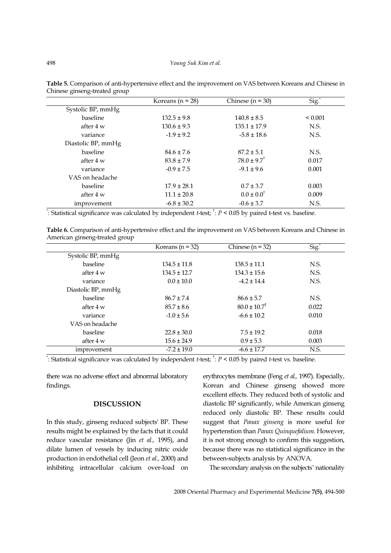|                    | Koreans $(n = 28)$ | Chinese $(n = 30)$       | Sig.         |
|--------------------|--------------------|--------------------------|--------------|
| Systolic BP, mmHg  |                    |                          |              |
| baseline           | $132.5 \pm 9.8$    | $140.8 \pm 8.5$          | ${}_{0.001}$ |
| after 4 w          | $130.6 \pm 9.3$    | $135.1 \pm 17.9$         | N.S.         |
| variance           | $-1.9 \pm 9.2$     | $-5.8 \pm 18.6$          | N.S.         |
| Diastolic BP, mmHg |                    |                          |              |
| baseline           | $84.6 \pm 7.6$     | $87.2 \pm 5.1$           | N.S.         |
| after 4 w          | $83.8 \pm 7.9$     | $78.0 \pm 9.7^{\dagger}$ | 0.017        |
| variance           | $-0.9 \pm 7.5$     | $-9.1 \pm 9.6$           | 0.001        |
| VAS on headache    |                    |                          |              |
| baseline           | $17.9 \pm 28.1$    | $0.7 \pm 3.7$            | 0.003        |
| after 4 w          | $11.1 \pm 20.8$    | $0.0 \pm 0.0^{\dagger}$  | 0.009        |
| improvement        | $-6.8 \pm 30.2$    | $-0.6 \pm 3.7$           | N.S.         |

Table 5. Comparison of anti-hypertensive effect and the improvement on VAS between Koreans and Chinese in Chinese ginseng-treated group

": Statistical significance was calculated by independent *t*-test;  $\dagger$ :  $P$  < 0.05 by paired t-test vs. baseline.

Table 6. Comparison of anti-hypertensive effect and the improvement on VAS between Koreans and Chinese in American ginseng-treated group

|                    | Koreans ( $n = 32$ ) | Chinese ( $n = 32$ )         | Sig.  |
|--------------------|----------------------|------------------------------|-------|
| Systolic BP, mmHg  |                      |                              |       |
| baseline           | $134.5 \pm 11.8$     | $138.5 \pm 11.1$             | N.S.  |
| after 4 w          | $134.5 \pm 12.7$     | $134.3 \pm 15.6$             | N.S.  |
| variance           | $0.0 \pm 10.0$       | $-4.2 \pm 14.4$              | N.S.  |
| Diastolic BP, mmHg |                      |                              |       |
| baseline           | $86.7 \pm 7.4$       | $86.6 \pm 5.7$               | N.S.  |
| after 4 w          | $85.7 \pm 8.6$       | $80.0 \pm 10.7$ <sup>†</sup> | 0.022 |
| variance           | $-1.0 \pm 5.6$       | $-6.6 \pm 10.2$              | 0.010 |
| VAS on headache    |                      |                              |       |
| baseline           | $22.8 \pm 30.0$      | $7.5 \pm 19.2$               | 0.018 |
| after 4 w          | $15.6 \pm 24.9$      | $0.9 \pm 5.3$                | 0.003 |
| improvement        | $-7.2 \pm 19.0$      | $-6.6 \pm 17.7$              | N.S.  |

": Statistical significance was calculated by independent *t*-test;  $\dagger$ :  $P$  < 0.05 by paired *t*-test vs. baseline.

there was no adverse effect and abnormal laboratory findings.

#### DISCUSSION

In this study, ginseng reduced subjects' BP. These results might be explained by the facts that it could reduce vascular resistance (Jin et al., 1995), and dilate lumen of vessels by inducing nitric oxide production in endothelial cell (Jeon et al., 2000) and inhibiting intracellular calcium over-load on erythrocytes membrane (Feng et al., 1997). Especially, Korean and Chinese ginseng showed more excellent effects. They reduced both of systolic and diastolic BP significantly, while American ginseng reduced only diastolic BP. These results could suggest that Panax ginseng is more useful for hypertenstion than Panax Quinquefalium. However, it is not strong enough to confirm this suggestion, because there was no statistical significance in the between-subjects analysis by ANOVA.

The secondary analysis on the subjects' nationality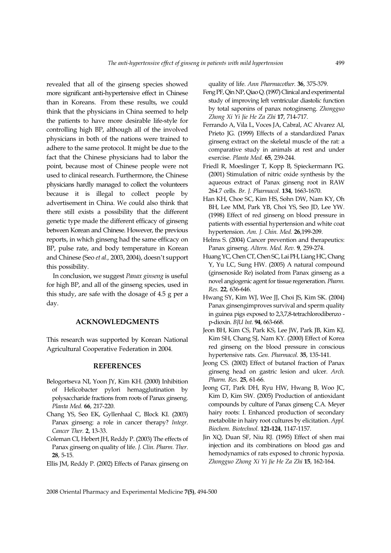revealed that all of the ginseng species showed more significant anti-hypertensive effect in Chinese than in Koreans. From these results, we could think that the physicians in China seemed to help the patients to have more desirable life-style for controlling high BP, although all of the involved physicians in both of the nations were trained to adhere to the same protocol. It might be due to the fact that the Chinese physicians had to labor the point, because most of Chinese people were not used to clinical research. Furthermore, the Chinese physicians hardly managed to collect the volunteers because it is illegal to collect people by advertisement in China. We could also think that there still exists a possibility that the different genetic type made the different efficacy of ginseng between Korean and Chinese. However, the previous reports, in which ginseng had the same efficacy on BP, pulse rate, and body temperature in Korean and Chinese (Seo et al., 2003, 2004), doesn't support this possibility.

In conclusion, we suggest Panax ginseng is useful for high BP, and all of the ginseng species, used in this study, are safe with the dosage of 4.5 g per a day.

## ACKNOWLEDGMENTS

This research was supported by Korean National Agricultural Cooperative Federation in 2004.

#### REFERENCES

- Belogortseva NI, Yoon JY, Kim KH. (2000) Inhibition of Helicobacter pylori hemagglutination by polysaccharide fractions from roots of Panax ginseng. Planta Med. 66, 217-220.
- Chang YS, Seo EK, Gyllenhaal C, Block KI. (2003) Panax ginseng: a role in cancer therapy? Integr. Cancer Ther. 2, 13-33.
- Coleman CI, Hebert JH, Reddy P. (2003) The effects of Panax ginseng on quality of life. J. Clin. Pharm. Ther. 28, 5-15.

Ellis JM, Reddy P. (2002) Effects of Panax ginseng on

quality of life. Ann Pharmacother. 36, 375-379.

- Feng PF, Qin NP, Qiao Q. (1997) Clinical and experimental study of improving left ventricular diastolic function by total saponins of panax notoginseng. Zhongguo Zhong Xi Yi Jie He Za Zhi 17, 714-717.
- Ferrando A, Vila L, Voces JA, Cabral, AC Alvarez AI, Prieto JG. (1999) Effects of a standardized Panax ginseng extract on the skeletal muscle of the rat: a comparative study in animals at rest and under exercise. Planta Med. 65, 239-244.
- Friedl R, Moeslinger T, Kopp B, Spieckermann PG. (2001) Stimulation of nitric oxide synthesis by the aqueous extract of Panax ginseng root in RAW 264.7 cells. Br. J. Pharmacol. 134, 1663-1670.
- Han KH, Choe SC, Kim HS, Sohn DW, Nam KY, Oh BH, Lee MM, Park YB, Choi YS, Seo JD, Lee YW. (1998) Effect of red ginseng on blood pressure in patients with essential hypertension and white coat hypertension. Am. J. Chin. Med. 26,199-209.
- Helms S. (2004) Cancer prevention and therapeutics: Panax ginseng. Altern. Med. Rev. 9, 259-274.
- Huang YC, Chen CT, Chen SC, Lai PH, Liang HC, Chang Y, Yu LC, Sung HW. (2005) A natural compound (ginsenoside Re) isolated from Panax ginseng as a novel angiogenic agent for tissue regeneration. Pharm. Res. 22, 636-646.
- Hwang SY, Kim WJ, Wee JJ, Choi JS, Kim SK. (2004) Panax ginsengimproves survival and sperm quality in guinea pigs exposed to 2,3,7,8-tetrachlorodibenzo p-dioxin. BJU Int. 94, 663-668.
- Jeon BH, Kim CS, Park KS, Lee JW, Park JB, Kim KJ, Kim SH, Chang SJ, Nam KY. (2000) Effect of Korea red ginseng on the blood pressure in conscious hypertensive rats. Gen. Pharmacol. 35, 135-141.
- Jeong CS. (2002) Effect of butanol fraction of Panax ginseng head on gastric lesion and ulcer. Arch. Pharm. Res. 25, 61-66.
- Jeong GT, Park DH, Ryu HW, Hwang B, Woo JC, Kim D, Kim SW. (2005) Production of antioxidant compounds by culture of Panax ginseng C.A. Meyer hairy roots: I. Enhanced production of secondary metabolite in hairy root cultures by elicitation. Appl. Biochem. Biotechnol. 121-124, 1147-1157.
- Jin XQ, Duan SF, Niu RJ. (1995) Effect of shen mai injection and its combinations on blood gas and hemodynamics of rats exposed to chronic hypoxia. Zhongguo Zhong Xi Yi Jie He Za Zhi 15, 162-164.

2008 Oriental Pharmacy and Experimental Medicine 7(5), 494-500